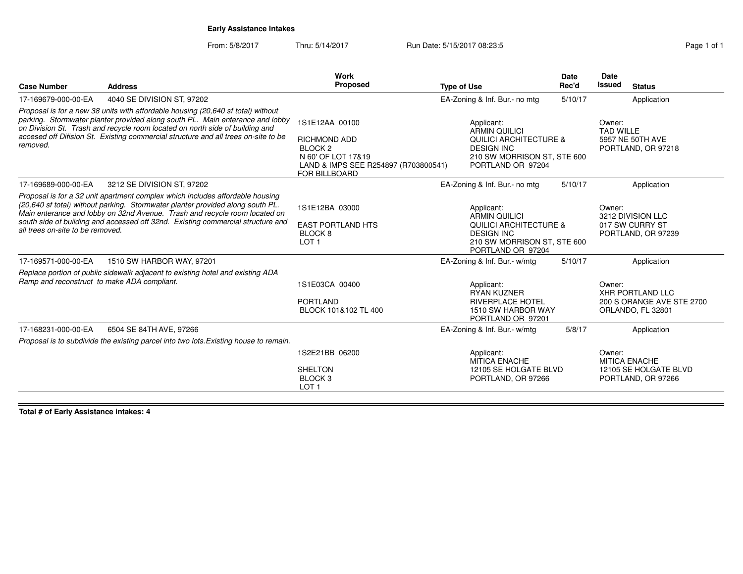## **Early Assistance Intakes**

From: 5/8/2017Thru: 5/14/2017 **Run Date: 5/15/2017 08:23:5** Page

| Page 1 of 1 |  |  |
|-------------|--|--|
|             |  |  |

| <b>Case Number</b>                          | <b>Address</b>                                                                                                                                                                                                                                                                                                                          | Work<br>Proposed                                                                                                                           | <b>Type of Use</b>                                                                                                                               | <b>Date</b><br>Rec'd | Date<br>Issued<br><b>Status</b>                                               |
|---------------------------------------------|-----------------------------------------------------------------------------------------------------------------------------------------------------------------------------------------------------------------------------------------------------------------------------------------------------------------------------------------|--------------------------------------------------------------------------------------------------------------------------------------------|--------------------------------------------------------------------------------------------------------------------------------------------------|----------------------|-------------------------------------------------------------------------------|
| 17-169679-000-00-EA                         | 4040 SE DIVISION ST, 97202                                                                                                                                                                                                                                                                                                              |                                                                                                                                            | EA-Zoning & Inf. Bur.- no mtg                                                                                                                    | 5/10/17              | Application                                                                   |
| removed.                                    | Proposal is for a new 38 units with affordable housing (20,640 sf total) without<br>parking. Stormwater planter provided along south PL. Main enterance and lobby<br>on Division St. Trash and recycle room located on north side of building and<br>accesed off Difision St. Existing commercial structure and all trees on-site to be | 1S1E12AA 00100<br><b>RICHMOND ADD</b><br>BLOCK <sub>2</sub><br>N 60' OF LOT 17&19<br>LAND & IMPS SEE R254897 (R703800541)<br>FOR BILLBOARD | Applicant:<br><b>ARMIN QUILICI</b><br><b>QUILICI ARCHITECTURE &amp;</b><br><b>DESIGN INC</b><br>210 SW MORRISON ST, STE 600<br>PORTLAND OR 97204 |                      | Owner:<br><b>TAD WILLE</b><br>5957 NE 50TH AVE<br>PORTLAND, OR 97218          |
| 17-169689-000-00-EA                         | 3212 SE DIVISION ST, 97202                                                                                                                                                                                                                                                                                                              |                                                                                                                                            | EA-Zoning & Inf. Bur.- no mtg                                                                                                                    | 5/10/17              | Application                                                                   |
| all trees on-site to be removed.            | Proposal is for a 32 unit apartment complex which includes affordable housing<br>(20,640 sf total) without parking. Stormwater planter provided along south PL.<br>Main enterance and lobby on 32nd Avenue. Trash and recycle room located on<br>south side of building and accessed off 32nd. Existing commercial structure and        | 1S1E12BA 03000<br><b>EAST PORTLAND HTS</b><br>BLOCK 8<br>LOT <sub>1</sub>                                                                  | Applicant:<br><b>ARMIN QUILICI</b><br><b>QUILICI ARCHITECTURE &amp;</b><br><b>DESIGN INC</b><br>210 SW MORRISON ST, STE 600<br>PORTLAND OR 97204 |                      | Owner:<br>3212 DIVISION LLC<br>017 SW CURRY ST<br>PORTLAND, OR 97239          |
| 17-169571-000-00-EA                         | 1510 SW HARBOR WAY, 97201                                                                                                                                                                                                                                                                                                               |                                                                                                                                            | EA-Zoning & Inf. Bur.- w/mtg                                                                                                                     | 5/10/17              | Application                                                                   |
| Ramp and reconstruct to make ADA compliant. | Replace portion of public sidewalk adjacent to existing hotel and existing ADA                                                                                                                                                                                                                                                          | 1S1E03CA 00400<br><b>PORTLAND</b><br>BLOCK 101&102 TL 400                                                                                  | Applicant:<br><b>RYAN KUZNER</b><br><b>RIVERPLACE HOTEL</b><br>1510 SW HARBOR WAY<br>PORTLAND OR 97201                                           |                      | Owner:<br>XHR PORTLAND LLC<br>200 S ORANGE AVE STE 2700<br>ORLANDO, FL 32801  |
| 17-168231-000-00-EA                         | 6504 SE 84TH AVE, 97266                                                                                                                                                                                                                                                                                                                 |                                                                                                                                            | EA-Zoning & Inf. Bur.- w/mtg                                                                                                                     | 5/8/17               | Application                                                                   |
|                                             | Proposal is to subdivide the existing parcel into two lots. Existing house to remain.                                                                                                                                                                                                                                                   |                                                                                                                                            |                                                                                                                                                  |                      |                                                                               |
|                                             |                                                                                                                                                                                                                                                                                                                                         | 1S2E21BB 06200<br><b>SHELTON</b><br>BLOCK <sub>3</sub><br>LOT <sub>1</sub>                                                                 | Applicant:<br><b>MITICA ENACHE</b><br>12105 SE HOLGATE BLVD<br>PORTLAND, OR 97266                                                                |                      | Owner:<br><b>MITICA ENACHE</b><br>12105 SE HOLGATE BLVD<br>PORTLAND, OR 97266 |

**Total # of Early Assistance intakes: 4**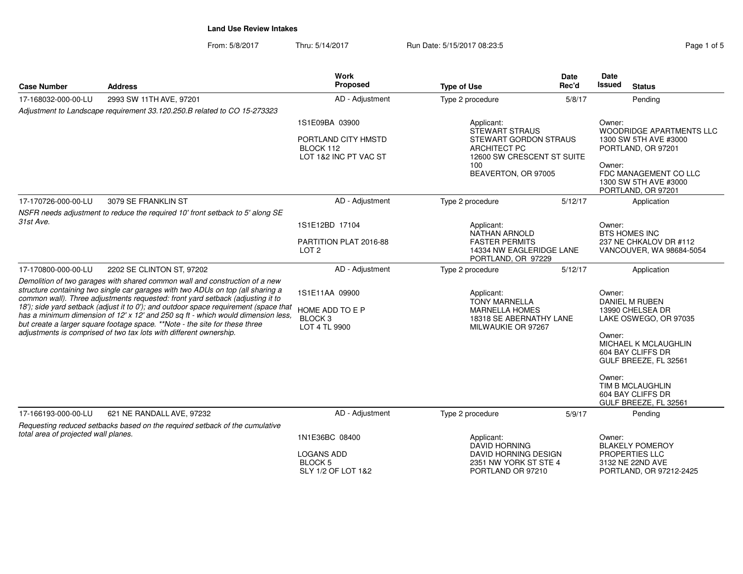From: 5/8/2017Thru: 5/14/2017 **Run Date: 5/15/2017 08:23:5** Pag

| Page 1 of 5 |  |  |
|-------------|--|--|
|             |  |  |

| <b>Case Number</b>                   | <b>Address</b>                                                                                                                                                                                                                                                                                                                                                                                                                                                                                                                                                                    | <b>Work</b><br>Proposed                                                     | <b>Type of Use</b>                                                                                                                              | Date<br>Rec'd | <b>Date</b><br><b>Issued</b><br><b>Status</b>                                                                                                                                                                                     |  |
|--------------------------------------|-----------------------------------------------------------------------------------------------------------------------------------------------------------------------------------------------------------------------------------------------------------------------------------------------------------------------------------------------------------------------------------------------------------------------------------------------------------------------------------------------------------------------------------------------------------------------------------|-----------------------------------------------------------------------------|-------------------------------------------------------------------------------------------------------------------------------------------------|---------------|-----------------------------------------------------------------------------------------------------------------------------------------------------------------------------------------------------------------------------------|--|
| 17-168032-000-00-LU                  | 2993 SW 11TH AVE, 97201                                                                                                                                                                                                                                                                                                                                                                                                                                                                                                                                                           | AD - Adjustment                                                             | Type 2 procedure                                                                                                                                | 5/8/17        | Pending                                                                                                                                                                                                                           |  |
|                                      | Adjustment to Landscape requirement 33.120.250.B related to CO 15-273323                                                                                                                                                                                                                                                                                                                                                                                                                                                                                                          |                                                                             |                                                                                                                                                 |               |                                                                                                                                                                                                                                   |  |
|                                      |                                                                                                                                                                                                                                                                                                                                                                                                                                                                                                                                                                                   | 1S1E09BA 03900<br>PORTLAND CITY HMSTD<br>BLOCK 112<br>LOT 1&2 INC PT VAC ST | Applicant:<br>STEWART STRAUS<br><b>STEWART GORDON STRAUS</b><br><b>ARCHITECT PC</b><br>12600 SW CRESCENT ST SUITE<br>100<br>BEAVERTON, OR 97005 |               | Owner:<br><b>WOODRIDGE APARTMENTS LLC</b><br>1300 SW 5TH AVE #3000<br>PORTLAND, OR 97201<br>Owner:<br>FDC MANAGEMENT CO LLC<br>1300 SW 5TH AVE #3000<br>PORTLAND, OR 97201                                                        |  |
| 17-170726-000-00-LU                  | 3079 SE FRANKLIN ST                                                                                                                                                                                                                                                                                                                                                                                                                                                                                                                                                               | AD - Adjustment                                                             | Type 2 procedure                                                                                                                                | 5/12/17       | Application                                                                                                                                                                                                                       |  |
|                                      | NSFR needs adjustment to reduce the required 10' front setback to 5' along SE                                                                                                                                                                                                                                                                                                                                                                                                                                                                                                     |                                                                             |                                                                                                                                                 |               |                                                                                                                                                                                                                                   |  |
| 31st Ave.                            |                                                                                                                                                                                                                                                                                                                                                                                                                                                                                                                                                                                   | 1S1E12BD 17104                                                              | Applicant:<br><b>NATHAN ARNOLD</b>                                                                                                              |               | Owner:<br><b>BTS HOMES INC</b>                                                                                                                                                                                                    |  |
|                                      |                                                                                                                                                                                                                                                                                                                                                                                                                                                                                                                                                                                   | PARTITION PLAT 2016-88<br>LOT <sub>2</sub>                                  | <b>FASTER PERMITS</b><br>14334 NW EAGLERIDGE LANE<br>PORTLAND, OR 97229                                                                         |               | 237 NE CHKALOV DR #112<br>VANCOUVER, WA 98684-5054                                                                                                                                                                                |  |
| 17-170800-000-00-LU                  | 2202 SE CLINTON ST, 97202                                                                                                                                                                                                                                                                                                                                                                                                                                                                                                                                                         | AD - Adjustment                                                             | Type 2 procedure                                                                                                                                | 5/12/17       | Application                                                                                                                                                                                                                       |  |
|                                      | Demolition of two garages with shared common wall and construction of a new<br>structure containing two single car garages with two ADUs on top (all sharing a<br>common wall). Three adjustments requested: front yard setback (adjusting it to<br>18'); side yard setback (adjust it to 0'); and outdoor space requirement (space that<br>has a minimum dimension of 12' x 12' and 250 sq ft - which would dimension less,<br>but create a larger square footage space. **Note - the site for these three<br>adjustments is comprised of two tax lots with different ownership. | 1S1E11AA 09900<br>HOME ADD TO E P<br>BLOCK <sub>3</sub><br>LOT 4 TL 9900    | Applicant:<br><b>TONY MARNELLA</b><br><b>MARNELLA HOMES</b><br>18318 SE ABERNATHY LANE<br>MILWAUKIE OR 97267                                    |               | Owner:<br>DANIEL M RUBEN<br>13990 CHELSEA DR<br>LAKE OSWEGO, OR 97035<br>Owner:<br>MICHAEL K MCLAUGHLIN<br>604 BAY CLIFFS DR<br>GULF BREEZE, FL 32561<br>Owner:<br>TIM B MCLAUGHLIN<br>604 BAY CLIFFS DR<br>GULF BREEZE, FL 32561 |  |
| 17-166193-000-00-LU                  | 621 NE RANDALL AVE, 97232                                                                                                                                                                                                                                                                                                                                                                                                                                                                                                                                                         | AD - Adjustment                                                             | Type 2 procedure                                                                                                                                | 5/9/17        | Pending                                                                                                                                                                                                                           |  |
|                                      | Requesting reduced setbacks based on the required setback of the cumulative                                                                                                                                                                                                                                                                                                                                                                                                                                                                                                       |                                                                             |                                                                                                                                                 |               |                                                                                                                                                                                                                                   |  |
| total area of projected wall planes. |                                                                                                                                                                                                                                                                                                                                                                                                                                                                                                                                                                                   | 1N1E36BC 08400                                                              | Applicant:<br>Owner:<br><b>DAVID HORNING</b>                                                                                                    |               | <b>BLAKELY POMEROY</b>                                                                                                                                                                                                            |  |
|                                      |                                                                                                                                                                                                                                                                                                                                                                                                                                                                                                                                                                                   | <b>LOGANS ADD</b><br><b>BLOCK 5</b><br>SLY 1/2 OF LOT 1&2                   | DAVID HORNING DESIGN<br>2351 NW YORK ST STE 4<br>PORTLAND OR 97210                                                                              |               | PROPERTIES LLC<br>3132 NE 22ND AVE<br>PORTLAND, OR 97212-2425                                                                                                                                                                     |  |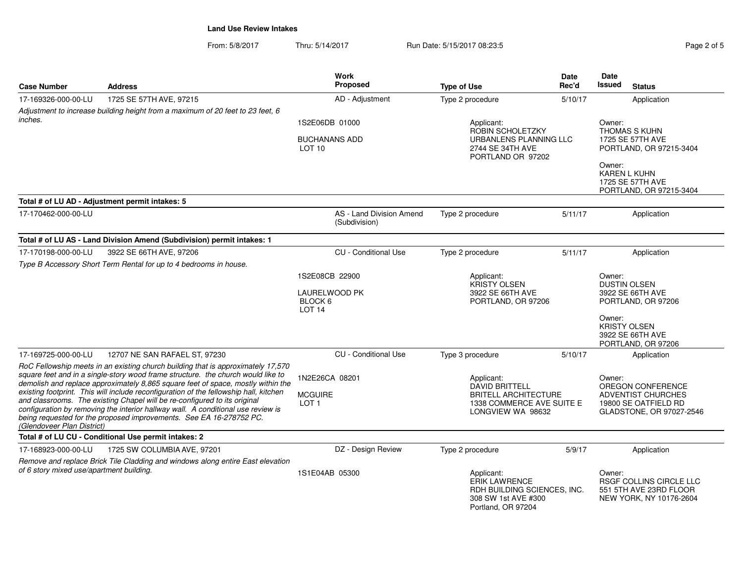From: 5/8/2017Thru: 5/14/2017 **Run Date: 5/15/2017 08:23:5** Pag

| Page 2 of 5 |  |  |
|-------------|--|--|
|             |  |  |

| <b>Case Number</b>                       | <b>Address</b>                                                                                                                                                                                                                                                                                                                                                                                                                                                                                                                                                                            | <b>Work</b><br>Proposed                                         | <b>Type of Use</b>                                                                                                   | <b>Date</b><br>Rec'd | <b>Date</b><br>Issued                                                                                                                 | <b>Status</b>                                                                                      |
|------------------------------------------|-------------------------------------------------------------------------------------------------------------------------------------------------------------------------------------------------------------------------------------------------------------------------------------------------------------------------------------------------------------------------------------------------------------------------------------------------------------------------------------------------------------------------------------------------------------------------------------------|-----------------------------------------------------------------|----------------------------------------------------------------------------------------------------------------------|----------------------|---------------------------------------------------------------------------------------------------------------------------------------|----------------------------------------------------------------------------------------------------|
| 17-169326-000-00-LU                      | 1725 SE 57TH AVE, 97215                                                                                                                                                                                                                                                                                                                                                                                                                                                                                                                                                                   | AD - Adjustment                                                 | Type 2 procedure                                                                                                     | 5/10/17              |                                                                                                                                       | Application                                                                                        |
|                                          | Adjustment to increase building height from a maximum of 20 feet to 23 feet, 6                                                                                                                                                                                                                                                                                                                                                                                                                                                                                                            |                                                                 |                                                                                                                      |                      |                                                                                                                                       |                                                                                                    |
| inches.                                  |                                                                                                                                                                                                                                                                                                                                                                                                                                                                                                                                                                                           | 1S2E06DB 01000                                                  | Applicant:                                                                                                           |                      | Owner:                                                                                                                                |                                                                                                    |
|                                          |                                                                                                                                                                                                                                                                                                                                                                                                                                                                                                                                                                                           | <b>BUCHANANS ADD</b><br>LOT <sub>10</sub>                       | ROBIN SCHOLETZKY<br>URBANLENS PLANNING LLC<br>2744 SE 34TH AVE<br>PORTLAND OR 97202                                  |                      | THOMAS S KUHN<br>1725 SE 57TH AVE<br>PORTLAND, OR 97215-3404<br>Owner:<br>KAREN L KUHN<br>1725 SE 57TH AVE<br>PORTLAND, OR 97215-3404 |                                                                                                    |
|                                          |                                                                                                                                                                                                                                                                                                                                                                                                                                                                                                                                                                                           |                                                                 |                                                                                                                      |                      |                                                                                                                                       |                                                                                                    |
|                                          | Total # of LU AD - Adjustment permit intakes: 5                                                                                                                                                                                                                                                                                                                                                                                                                                                                                                                                           |                                                                 |                                                                                                                      |                      |                                                                                                                                       |                                                                                                    |
| 17-170462-000-00-LU                      |                                                                                                                                                                                                                                                                                                                                                                                                                                                                                                                                                                                           | AS - Land Division Amend<br>(Subdivision)                       | Type 2 procedure                                                                                                     | 5/11/17              |                                                                                                                                       | Application                                                                                        |
|                                          | Total # of LU AS - Land Division Amend (Subdivision) permit intakes: 1                                                                                                                                                                                                                                                                                                                                                                                                                                                                                                                    |                                                                 |                                                                                                                      |                      |                                                                                                                                       |                                                                                                    |
| 17-170198-000-00-LU                      | 3922 SE 66TH AVE, 97206                                                                                                                                                                                                                                                                                                                                                                                                                                                                                                                                                                   | <b>CU</b> - Conditional Use                                     | Type 2 procedure                                                                                                     | 5/11/17              |                                                                                                                                       | Application                                                                                        |
|                                          | Type B Accessory Short Term Rental for up to 4 bedrooms in house.                                                                                                                                                                                                                                                                                                                                                                                                                                                                                                                         |                                                                 |                                                                                                                      |                      |                                                                                                                                       |                                                                                                    |
|                                          |                                                                                                                                                                                                                                                                                                                                                                                                                                                                                                                                                                                           | 1S2E08CB 22900<br>LAURELWOOD PK<br>BLOCK 6<br>LOT <sub>14</sub> | Applicant:<br><b>KRISTY OLSEN</b><br>3922 SE 66TH AVE<br>PORTLAND, OR 97206                                          |                      | Owner:                                                                                                                                | <b>DUSTIN OLSEN</b><br>3922 SE 66TH AVE<br>PORTLAND, OR 97206                                      |
|                                          |                                                                                                                                                                                                                                                                                                                                                                                                                                                                                                                                                                                           |                                                                 |                                                                                                                      |                      | Owner:                                                                                                                                | <b>KRISTY OLSEN</b><br>3922 SE 66TH AVE<br>PORTLAND, OR 97206                                      |
| 17-169725-000-00-LU                      | 12707 NE SAN RAFAEL ST, 97230                                                                                                                                                                                                                                                                                                                                                                                                                                                                                                                                                             | <b>CU</b> - Conditional Use                                     | Type 3 procedure                                                                                                     | 5/10/17              |                                                                                                                                       | Application                                                                                        |
| (Glendoveer Plan District)               | RoC Fellowship meets in an existing church building that is approximately 17,570<br>square feet and in a single-story wood frame structure. the church would like to<br>demolish and replace approximately 8,865 square feet of space, mostly within the<br>existing footprint. This will include reconfiguration of the fellowship hall, kitchen<br>and classrooms. The existing Chapel will be re-configured to its original<br>configuration by removing the interior hallway wall. A conditional use review is<br>being requested for the proposed improvements. See EA 16-278752 PC. | 1N2E26CA 08201<br><b>MCGUIRE</b><br>LOT <sub>1</sub>            | Applicant:<br><b>DAVID BRITTELL</b><br><b>BRITELL ARCHITECTURE</b><br>1338 COMMERCE AVE SUITE E<br>LONGVIEW WA 98632 |                      | Owner:                                                                                                                                | OREGON CONFERENCE<br><b>ADVENTIST CHURCHES</b><br>19800 SE OATFIELD RD<br>GLADSTONE, OR 97027-2546 |
|                                          | Total # of LU CU - Conditional Use permit intakes: 2                                                                                                                                                                                                                                                                                                                                                                                                                                                                                                                                      |                                                                 |                                                                                                                      |                      |                                                                                                                                       |                                                                                                    |
| 17-168923-000-00-LU                      | 1725 SW COLUMBIA AVE, 97201                                                                                                                                                                                                                                                                                                                                                                                                                                                                                                                                                               | DZ - Design Review                                              | Type 2 procedure                                                                                                     | 5/9/17               |                                                                                                                                       | Application                                                                                        |
| of 6 story mixed use/apartment building. | Remove and replace Brick Tile Cladding and windows along entire East elevation                                                                                                                                                                                                                                                                                                                                                                                                                                                                                                            | 1S1E04AB 05300                                                  | Applicant:<br><b>ERIK LAWRENCE</b><br>RDH BUILDING SCIENCES, INC.<br>308 SW 1st AVE #300<br>Portland, OR 97204       |                      | Owner:                                                                                                                                | RSGF COLLINS CIRCLE LLC<br>551 5TH AVE 23RD FLOOR<br>NEW YORK, NY 10176-2604                       |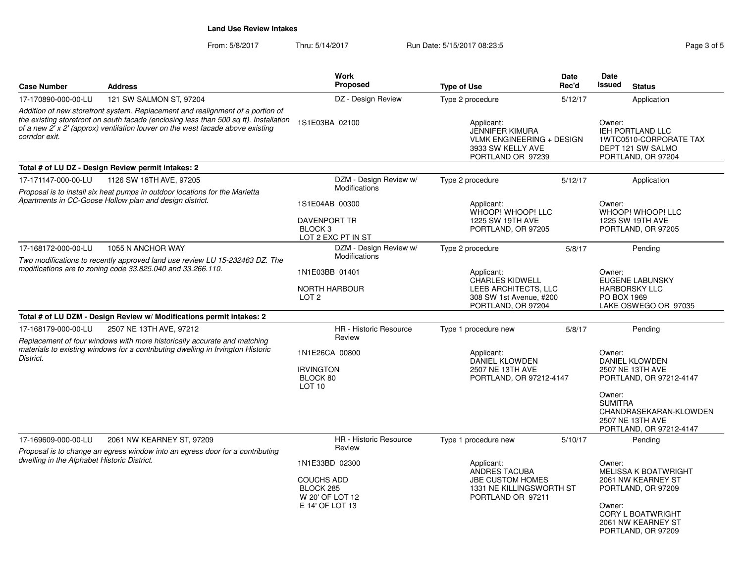| <b>Case Number</b>                          | <b>Address</b>                                                                                                                                                                                                                                            | <b>Work</b><br><b>Proposed</b>                                                                   | <b>Type of Use</b>                                                                                                 | <b>Date</b><br>Rec'd | Date<br>Issued<br><b>Status</b>                                                                                                                                     |
|---------------------------------------------|-----------------------------------------------------------------------------------------------------------------------------------------------------------------------------------------------------------------------------------------------------------|--------------------------------------------------------------------------------------------------|--------------------------------------------------------------------------------------------------------------------|----------------------|---------------------------------------------------------------------------------------------------------------------------------------------------------------------|
| 17-170890-000-00-LU                         | 121 SW SALMON ST, 97204                                                                                                                                                                                                                                   | DZ - Design Review                                                                               | Type 2 procedure                                                                                                   | 5/12/17              | Application                                                                                                                                                         |
| corridor exit.                              | Addition of new storefront system. Replacement and realignment of a portion of<br>the existing storefront on south facade (enclosing less than 500 sq ft). Installation<br>of a new 2' x 2' (approx) ventilation louver on the west facade above existing | 1S1E03BA 02100                                                                                   | Applicant:<br><b>JENNIFER KIMURA</b><br><b>VLMK ENGINEERING + DESIGN</b><br>3933 SW KELLY AVE<br>PORTLAND OR 97239 |                      | Owner:<br>IEH PORTLAND LLC<br>1WTC0510-CORPORATE TAX<br>DEPT 121 SW SALMO<br>PORTLAND, OR 97204                                                                     |
|                                             | Total # of LU DZ - Design Review permit intakes: 2                                                                                                                                                                                                        |                                                                                                  |                                                                                                                    |                      |                                                                                                                                                                     |
| 17-171147-000-00-LU                         | 1126 SW 18TH AVE, 97205                                                                                                                                                                                                                                   | DZM - Design Review w/                                                                           | Type 2 procedure                                                                                                   | 5/12/17              | Application                                                                                                                                                         |
|                                             | Proposal is to install six heat pumps in outdoor locations for the Marietta                                                                                                                                                                               | <b>Modifications</b>                                                                             |                                                                                                                    |                      |                                                                                                                                                                     |
|                                             | Apartments in CC-Goose Hollow plan and design district.                                                                                                                                                                                                   | 1S1E04AB 00300<br><b>DAVENPORT TR</b><br>BLOCK <sub>3</sub><br>LOT 2 EXC PT IN ST                | Applicant:<br>WHOOP! WHOOP! LLC<br>1225 SW 19TH AVE<br>PORTLAND, OR 97205                                          |                      | Owner:<br>WHOOP! WHOOP! LLC<br>1225 SW 19TH AVE<br>PORTLAND, OR 97205                                                                                               |
| 17-168172-000-00-LU                         | 1055 N ANCHOR WAY                                                                                                                                                                                                                                         | DZM - Design Review w/                                                                           | Type 2 procedure                                                                                                   | 5/8/17               | Pending                                                                                                                                                             |
|                                             | Two modifications to recently approved land use review LU 15-232463 DZ. The                                                                                                                                                                               | <b>Modifications</b>                                                                             |                                                                                                                    |                      |                                                                                                                                                                     |
|                                             | modifications are to zoning code 33.825.040 and 33.266.110.                                                                                                                                                                                               | 1N1E03BB 01401<br><b>NORTH HARBOUR</b><br>LOT <sub>2</sub>                                       | Applicant:<br><b>CHARLES KIDWELL</b><br>LEEB ARCHITECTS, LLC<br>308 SW 1st Avenue, #200<br>PORTLAND, OR 97204      |                      | Owner:<br><b>EUGENE LABUNSKY</b><br><b>HARBORSKY LLC</b><br>PO BOX 1969<br>LAKE OSWEGO OR 97035                                                                     |
|                                             | Total # of LU DZM - Design Review w/ Modifications permit intakes: 2                                                                                                                                                                                      |                                                                                                  |                                                                                                                    |                      |                                                                                                                                                                     |
| 17-168179-000-00-LU                         | 2507 NE 13TH AVE, 97212<br>Replacement of four windows with more historically accurate and matching                                                                                                                                                       | HR - Historic Resource<br>Review                                                                 | Type 1 procedure new                                                                                               | 5/8/17               | Pending                                                                                                                                                             |
| District.                                   | materials to existing windows for a contributing dwelling in Irvington Historic                                                                                                                                                                           | 1N1E26CA 00800<br><b>IRVINGTON</b><br>BLOCK 80<br>LOT <sub>10</sub>                              | Applicant:<br>DANIEL KLOWDEN<br>2507 NE 13TH AVE<br>PORTLAND, OR 97212-4147                                        |                      | Owner:<br>DANIEL KLOWDEN<br>2507 NE 13TH AVE<br>PORTLAND, OR 97212-4147<br>Owner:<br><b>SUMITRA</b>                                                                 |
|                                             |                                                                                                                                                                                                                                                           |                                                                                                  |                                                                                                                    |                      | CHANDRASEKARAN-KLOWDEN<br>2507 NE 13TH AVE<br>PORTLAND, OR 97212-4147                                                                                               |
| 17-169609-000-00-LU                         | 2061 NW KEARNEY ST, 97209                                                                                                                                                                                                                                 | HR - Historic Resource                                                                           | Type 1 procedure new                                                                                               | 5/10/17              | Pending                                                                                                                                                             |
| dwelling in the Alphabet Historic District. | Proposal is to change an egress window into an egress door for a contributing                                                                                                                                                                             | Review<br>1N1E33BD 02300<br><b>COUCHS ADD</b><br>BLOCK 285<br>W 20' OF LOT 12<br>E 14' OF LOT 13 | Applicant:<br>ANDRES TACUBA<br><b>JBE CUSTOM HOMES</b><br>1331 NE KILLINGSWORTH ST<br>PORTLAND OR 97211            |                      | Owner:<br><b>MELISSA K BOATWRIGHT</b><br>2061 NW KEARNEY ST<br>PORTLAND, OR 97209<br>Owner:<br><b>CORY L BOATWRIGHT</b><br>2061 NW KEARNEY ST<br>PORTLAND, OR 97209 |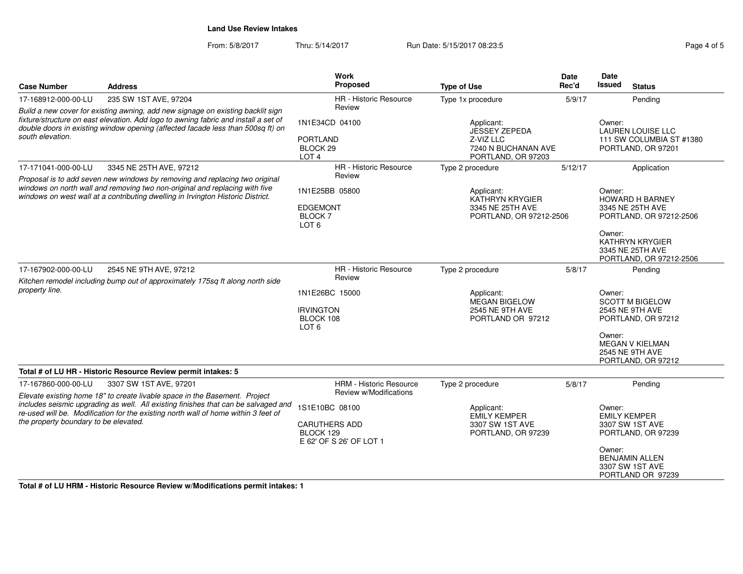From: 5/8/2017Thru: 5/14/2017 **Run Date: 5/15/2017 08:23:5** Page 4 of 5

| <b>Case Number</b>                                                                                                                                                                                                                                                            | <b>Address</b>                                                                                                                                                                                                                                | <b>Work</b><br>Proposed                                                                                                                                                     | <b>Type of Use</b>                                                                  | <b>Date</b><br>Rec'd                                                                                                                              | Date<br><b>Issued</b><br><b>Status</b>                                                                                           |
|-------------------------------------------------------------------------------------------------------------------------------------------------------------------------------------------------------------------------------------------------------------------------------|-----------------------------------------------------------------------------------------------------------------------------------------------------------------------------------------------------------------------------------------------|-----------------------------------------------------------------------------------------------------------------------------------------------------------------------------|-------------------------------------------------------------------------------------|---------------------------------------------------------------------------------------------------------------------------------------------------|----------------------------------------------------------------------------------------------------------------------------------|
| 17-168912-000-00-LU                                                                                                                                                                                                                                                           | 235 SW 1ST AVE, 97204                                                                                                                                                                                                                         | <b>HR</b> - Historic Resource                                                                                                                                               | Type 1x procedure                                                                   | 5/9/17                                                                                                                                            | Pending                                                                                                                          |
| Build a new cover for existing awning, add new signage on existing backlit sign<br>fixture/structure on east elevation. Add logo to awning fabric and install a set of<br>double doors in existing window opening (affected facade less than 500sq ft) on<br>south elevation. |                                                                                                                                                                                                                                               | Review<br>1N1E34CD 04100<br>Applicant:<br><b>JESSEY ZEPEDA</b><br><b>PORTLAND</b><br>Z-VIZ LLC<br>BLOCK 29<br>7240 N BUCHANAN AVE<br>LOT <sub>4</sub><br>PORTLAND, OR 97203 |                                                                                     |                                                                                                                                                   | Owner:<br><b>LAUREN LOUISE LLC</b><br>111 SW COLUMBIA ST #1380<br>PORTLAND, OR 97201                                             |
| 17-171041-000-00-LU                                                                                                                                                                                                                                                           | 3345 NE 25TH AVE, 97212                                                                                                                                                                                                                       | HR - Historic Resource                                                                                                                                                      | Type 2 procedure                                                                    | 5/12/17                                                                                                                                           | Application                                                                                                                      |
|                                                                                                                                                                                                                                                                               | Proposal is to add seven new windows by removing and replacing two original<br>windows on north wall and removing two non-original and replacing with five<br>windows on west wall at a contributing dwelling in Irvington Historic District. | Review<br>1N1E25BB 05800<br><b>EDGEMONT</b><br><b>BLOCK7</b><br>LOT <sub>6</sub>                                                                                            | Applicant:<br><b>KATHRYN KRYGIER</b><br>3345 NE 25TH AVE<br>PORTLAND, OR 97212-2506 |                                                                                                                                                   | Owner:<br>HOWARD H BARNEY<br>3345 NE 25TH AVE<br>PORTLAND, OR 97212-2506<br>Owner:<br><b>KATHRYN KRYGIER</b><br>3345 NE 25TH AVE |
|                                                                                                                                                                                                                                                                               |                                                                                                                                                                                                                                               |                                                                                                                                                                             |                                                                                     |                                                                                                                                                   | PORTLAND, OR 97212-2506                                                                                                          |
| 17-167902-000-00-LU                                                                                                                                                                                                                                                           | 2545 NE 9TH AVE, 97212<br>Kitchen remodel including bump out of approximately 175sq ft along north side                                                                                                                                       | HR - Historic Resource<br>Review                                                                                                                                            | Type 2 procedure                                                                    | 5/8/17                                                                                                                                            | Pending                                                                                                                          |
| property line.                                                                                                                                                                                                                                                                | 1N1E26BC 15000<br><b>IRVINGTON</b><br>BLOCK 108<br>LOT <sub>6</sub>                                                                                                                                                                           | Applicant:<br>MEGAN BIGELOW<br><b>2545 NE 9TH AVE</b><br>PORTLAND OR 97212                                                                                                  |                                                                                     | Owner:<br><b>SCOTT M BIGELOW</b><br>2545 NE 9TH AVE<br>PORTLAND, OR 97212<br>Owner:<br><b>MEGAN V KIELMAN</b><br>2545 NE 9TH AVE                  |                                                                                                                                  |
|                                                                                                                                                                                                                                                                               |                                                                                                                                                                                                                                               |                                                                                                                                                                             |                                                                                     |                                                                                                                                                   | PORTLAND, OR 97212                                                                                                               |
|                                                                                                                                                                                                                                                                               | Total # of LU HR - Historic Resource Review permit intakes: 5                                                                                                                                                                                 |                                                                                                                                                                             |                                                                                     |                                                                                                                                                   |                                                                                                                                  |
| 17-167860-000-00-LU                                                                                                                                                                                                                                                           | 3307 SW 1ST AVE, 97201<br>Elevate existing home 18" to create livable space in the Basement. Project                                                                                                                                          | HRM - Historic Resource<br>Review w/Modifications                                                                                                                           | Type 2 procedure                                                                    | 5/8/17                                                                                                                                            | Pending                                                                                                                          |
| includes seismic upgrading as well. All existing finishes that can be salvaged and<br>re-used will be. Modification for the existing north wall of home within 3 feet of<br>the property boundary to be elevated.                                                             | 1S1E10BC 08100<br><b>CARUTHERS ADD</b><br>BLOCK 129<br>E 62' OF S 26' OF LOT 1                                                                                                                                                                | Applicant:<br><b>EMILY KEMPER</b><br>3307 SW 1ST AVE<br>PORTLAND, OR 97239                                                                                                  |                                                                                     | Owner:<br><b>EMILY KEMPER</b><br>3307 SW 1ST AVE<br>PORTLAND, OR 97239<br>Owner:<br><b>BENJAMIN ALLEN</b><br>3307 SW 1ST AVE<br>PORTLAND OR 97239 |                                                                                                                                  |

**Total # of LU HRM - Historic Resource Review w/Modifications permit intakes: 1**